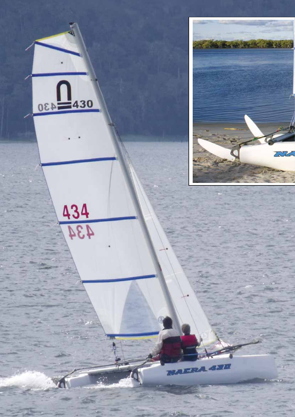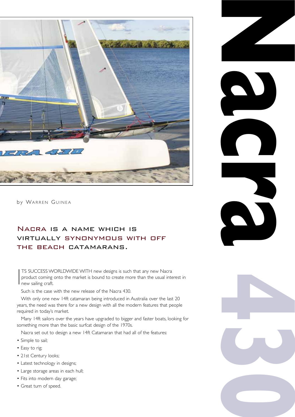

by WARREN GUINEA

# Nacra is a name which is virtually synonymous with off the beach catamarans.

TS SUCCESS W<br>
product coming<br>
new sailing craft. TS SUCCESS WORLDWIDE WITH new designs is such that any new Nacra product coming onto the market is bound to create more than the usual interest in

Such is the case with the new release of the Nacra 430.

With only one new 14ft catamaran being introduced in Australia over the last 20 years, the need was there for a new design with all the modern features that people required in today's market.

Many 14ft sailors over the years have upgraded to bigger and faster boats, looking for something more than the basic surfcat design of the 1970s.

Nacra set out to design a new 14ft Catamaran that had all of the features:

- Simple to sail;
- Easy to rig;
- 21st Century looks;
- Latest technology in designs;
- Large storage areas in each hull;
- Fits into modern day garage;
- Great turn of speed.



**430**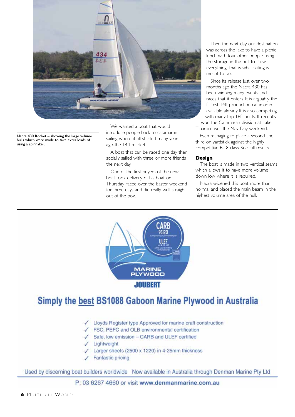

Nacra 430 Rocket – showing the large volume hulls which were made to take extra loads of using a spinnaker.

We wanted a boat that would introduce people back to catamaran sailing where it all started many years ago-the 14ft market.

A boat that can be raced one day then socially sailed with three or more friends the next day.

One of the first buyers of the new boat took delivery of his boat on Thursday, raced over the Easter weekend for three days and did really well straight out of the box.

Then the next day our destination was across the lake to have a picnic lunch with four other people using the storage in the hull to stow everything. That is what sailing is meant to be.

Since its release just over two months ago the Nacra 430 has been winning many events and races that it enters. It is arguably the fastest 14ft production catamaran available already. It is also competing with many top 16ft boats. It recently won the Catamaran division at Lake

Tinaroo over the May Day weekend.

Even managing to place a second and third on yardstick against the highly competitive F-18 class. See full results.

#### **Design**

The boat is made in two vertical seams which allows it to have more volume down low where it is required.

Nacra widened this boat more than normal and placed the main beam in the highest volume area of the hull.

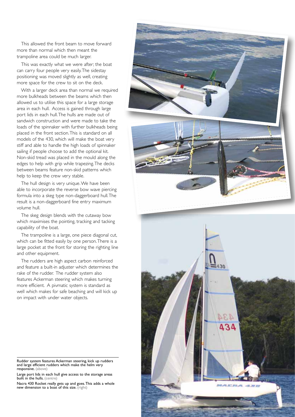This allowed the front beam to move forward more than normal which then meant the trampoline area could be much larger.

This was exactly what we were after; the boat can carry four people very easily. The sidestay positioning was moved slightly as well, creating more space for the crew to sit on the deck.

With a larger deck area than normal we required more bulkheads between the beams which then allowed us to utilise this space for a large storage area in each hull. Access is gained through large port lids in each hull. The hulls are made out of sandwich construction and were made to take the loads of the spinnaker with further bulkheads being placed in the front section. This is standard on all models of the 430, which will make the boat very stiff and able to handle the high loads of spinnaker sailing if people choose to add the optional kit. Non-skid tread was placed in the mould along the edges to help with grip while trapezing. The decks between beams feature non-skid patterns which help to keep the crew very stable.

The hull design is very unique. We have been able to incorporate the reverse bow wave piercing formula into a skeg type non-daggerboard hull. The result is a non-daggerboard fine entry maximum volume hull.

The skeg design blends with the cutaway bow which maximises the pointing, tracking and tacking capability of the boat.

The trampoline is a large, one piece diagonal cut, which can be fitted easily by one person. There is a large pocket at the front for storing the righting line and other equipment.

The rudders are high aspect carbon reinforced and feature a built-in adjuster which determines the rake of the rudder. The rudder system also features Ackerman steering which makes turning more efficient. A pivmatic system is standard as well which makes for safe beaching and will kick up on impact with under water objects.



Rudder system features Ackerman steering, kick up rudders and large efficient rudders which make the helm very responsive. (above)

Large port lids in each hull give access to the storage areas built in the hulls. (centre)

Nacra 430 Rocket really gets up and goes. This adds a whole new dimension to a boat of this size. (right)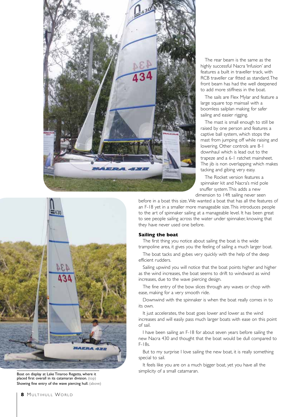

The rear beam is the same as the highly successful Nacra 'Infusion' and features a built in traveller track, with RCB traveller car fitted as standard. The front beam has had the well deepened to add more stiffness in the boat.

The sails are Flex Mylar and feature a large square top mainsail with a boomless sailplan making for safer sailing and easier rigging.

The mast is small enough to still be raised by one person and features a captive ball system, which stops the mast from jumping off while raising and lowering. Other controls are 8-1 downhaul which is lead out to the trapeze and a 6-1 ratchet mainsheet. The jib is non overlapping which makes tacking and gibing very easy.

The Rocket version features a spinnaker kit and Nacra's mid pole snuffer system. This adds a new dimension to 14ft sailing never seen

before in a boat this size. We wanted a boat that has all the features of an F-18 yet in a smaller more manageable size. This introduces people to the art of spinnaker sailing at a manageable level. It has been great to see people sailing across the water under spinnaker, knowing that they have never used one before.

### **Sailing the boat**

The first thing you notice about sailing the boat is the wide trampoline area, it gives you the feeling of sailing a much larger boat.

The boat tacks and gybes very quickly with the help of the deep efficient rudders.

Sailing upwind you will notice that the boat points higher and higher as the wind increases, the boat seems to drift to windward as wind increases, due to the wave piercing design.

The fine entry of the bow slices through any waves or chop with ease, making for a very smooth ride.

Downwind with the spinnaker is when the boat really comes in to its own.

It just accelerates, the boat goes lower and lower as the wind increases and will easily pass much larger boats with ease on this point of sail.

I have been sailing an F-18 for about seven years before sailing the new Nacra 430 and thought that the boat would be dull compared to F-18s.

But to my surprise I love sailing the new boat, it is really something special to sail.

It feels like you are on a much bigger boat, yet you have all the simplicity of a small catamaran.<br>Boat on display at Lake Tinaroo Regatta, where it



placed first overall in its catamaran division. (top) Showing fine entry of the wave piercing hull. (above)